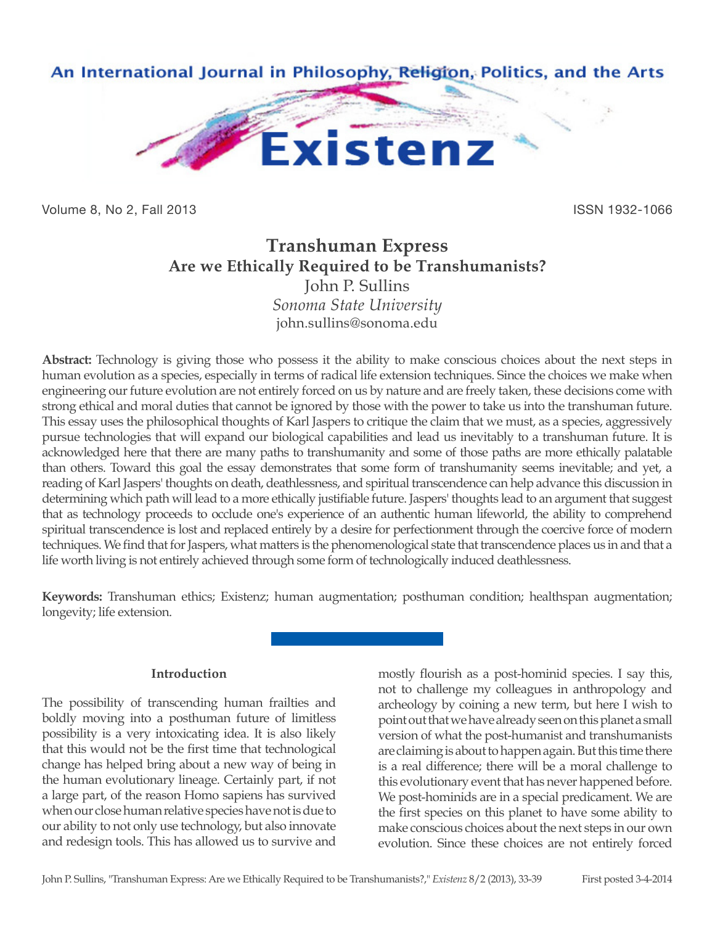

Volume 8, No 2, Fall 2013 **ISSN 1932-1066** 

# **Transhuman Express Are we Ethically Required to be Transhumanists?** John P. Sullins *Sonoma State University*

john.sullins@sonoma.edu

**Abstract:** Technology is giving those who possess it the ability to make conscious choices about the next steps in human evolution as a species, especially in terms of radical life extension techniques. Since the choices we make when engineering our future evolution are not entirely forced on us by nature and are freely taken, these decisions come with strong ethical and moral duties that cannot be ignored by those with the power to take us into the transhuman future. This essay uses the philosophical thoughts of Karl Jaspers to critique the claim that we must, as a species, aggressively pursue technologies that will expand our biological capabilities and lead us inevitably to a transhuman future. It is acknowledged here that there are many paths to transhumanity and some of those paths are more ethically palatable than others. Toward this goal the essay demonstrates that some form of transhumanity seems inevitable; and yet, a reading of Karl Jaspers' thoughts on death, deathlessness, and spiritual transcendence can help advance this discussion in determining which path will lead to a more ethically justifiable future. Jaspers' thoughts lead to an argument that suggest that as technology proceeds to occlude one's experience of an authentic human lifeworld, the ability to comprehend spiritual transcendence is lost and replaced entirely by a desire for perfectionment through the coercive force of modern techniques. We find that for Jaspers, what matters is the phenomenological state that transcendence places us in and that a life worth living is not entirely achieved through some form of technologically induced deathlessness.

**Keywords:** Transhuman ethics; Existenz; human augmentation; posthuman condition; healthspan augmentation; longevity; life extension.

# **Introduction**

The possibility of transcending human frailties and boldly moving into a posthuman future of limitless possibility is a very intoxicating idea. It is also likely that this would not be the first time that technological change has helped bring about a new way of being in the human evolutionary lineage. Certainly part, if not a large part, of the reason Homo sapiens has survived when our close human relative species have not is due to our ability to not only use technology, but also innovate and redesign tools. This has allowed us to survive and mostly flourish as a post-hominid species. I say this, not to challenge my colleagues in anthropology and archeology by coining a new term, but here I wish to point out that we have already seen on this planet a small version of what the post-humanist and transhumanists are claiming is about to happen again. But this time there is a real difference; there will be a moral challenge to this evolutionary event that has never happened before. We post-hominids are in a special predicament. We are the first species on this planet to have some ability to make conscious choices about the next steps in our own evolution. Since these choices are not entirely forced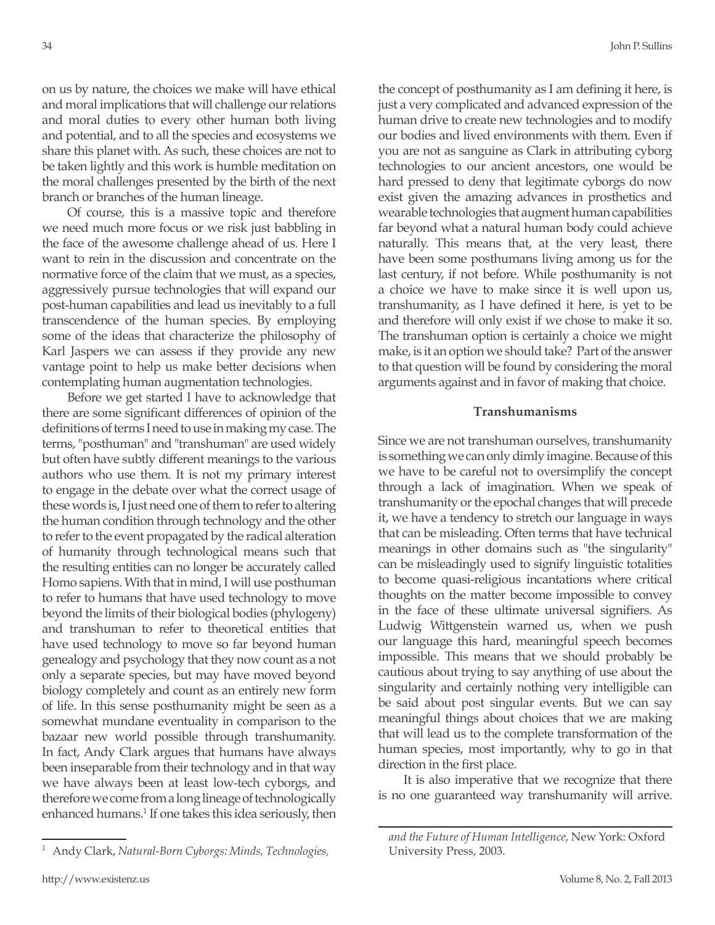on us by nature, the choices we make will have ethical and moral implications that will challenge our relations and moral duties to every other human both living and potential, and to all the species and ecosystems we share this planet with. As such, these choices are not to be taken lightly and this work is humble meditation on the moral challenges presented by the birth of the next branch or branches of the human lineage.

Of course, this is a massive topic and therefore we need much more focus or we risk just babbling in the face of the awesome challenge ahead of us. Here I want to rein in the discussion and concentrate on the normative force of the claim that we must, as a species, aggressively pursue technologies that will expand our post-human capabilities and lead us inevitably to a full transcendence of the human species. By employing some of the ideas that characterize the philosophy of Karl Jaspers we can assess if they provide any new vantage point to help us make better decisions when contemplating human augmentation technologies.

Before we get started I have to acknowledge that there are some significant differences of opinion of the definitions of terms I need to use in making my case. The terms, "posthuman" and "transhuman" are used widely but often have subtly different meanings to the various authors who use them. It is not my primary interest to engage in the debate over what the correct usage of these words is, I just need one of them to refer to altering the human condition through technology and the other to refer to the event propagated by the radical alteration of humanity through technological means such that the resulting entities can no longer be accurately called Homo sapiens. With that in mind, I will use posthuman to refer to humans that have used technology to move beyond the limits of their biological bodies (phylogeny) and transhuman to refer to theoretical entities that have used technology to move so far beyond human genealogy and psychology that they now count as a not only a separate species, but may have moved beyond biology completely and count as an entirely new form of life. In this sense posthumanity might be seen as a somewhat mundane eventuality in comparison to the bazaar new world possible through transhumanity. In fact, Andy Clark argues that humans have always been inseparable from their technology and in that way we have always been at least low-tech cyborgs, and therefore we come from a long lineage of technologically enhanced humans.<sup>1</sup> If one takes this idea seriously, then the concept of posthumanity as I am defining it here, is just a very complicated and advanced expression of the human drive to create new technologies and to modify our bodies and lived environments with them. Even if you are not as sanguine as Clark in attributing cyborg technologies to our ancient ancestors, one would be hard pressed to deny that legitimate cyborgs do now exist given the amazing advances in prosthetics and wearable technologies that augment human capabilities far beyond what a natural human body could achieve naturally. This means that, at the very least, there have been some posthumans living among us for the last century, if not before. While posthumanity is not a choice we have to make since it is well upon us, transhumanity, as I have defined it here, is yet to be and therefore will only exist if we chose to make it so. The transhuman option is certainly a choice we might make, is it an option we should take? Part of the answer to that question will be found by considering the moral arguments against and in favor of making that choice.

#### **Transhumanisms**

Since we are not transhuman ourselves, transhumanity is something we can only dimly imagine. Because of this we have to be careful not to oversimplify the concept through a lack of imagination. When we speak of transhumanity or the epochal changes that will precede it, we have a tendency to stretch our language in ways that can be misleading. Often terms that have technical meanings in other domains such as "the singularity" can be misleadingly used to signify linguistic totalities to become quasi-religious incantations where critical thoughts on the matter become impossible to convey in the face of these ultimate universal signifiers. As Ludwig Wittgenstein warned us, when we push our language this hard, meaningful speech becomes impossible. This means that we should probably be cautious about trying to say anything of use about the singularity and certainly nothing very intelligible can be said about post singular events. But we can say meaningful things about choices that we are making that will lead us to the complete transformation of the human species, most importantly, why to go in that direction in the first place.

It is also imperative that we recognize that there is no one guaranteed way transhumanity will arrive.

<sup>1</sup> Andy Clark, *Natural-Born Cyborgs: Minds, Technologies,* 

*and the Future of Human Intelligence*, New York: Oxford University Press, 2003.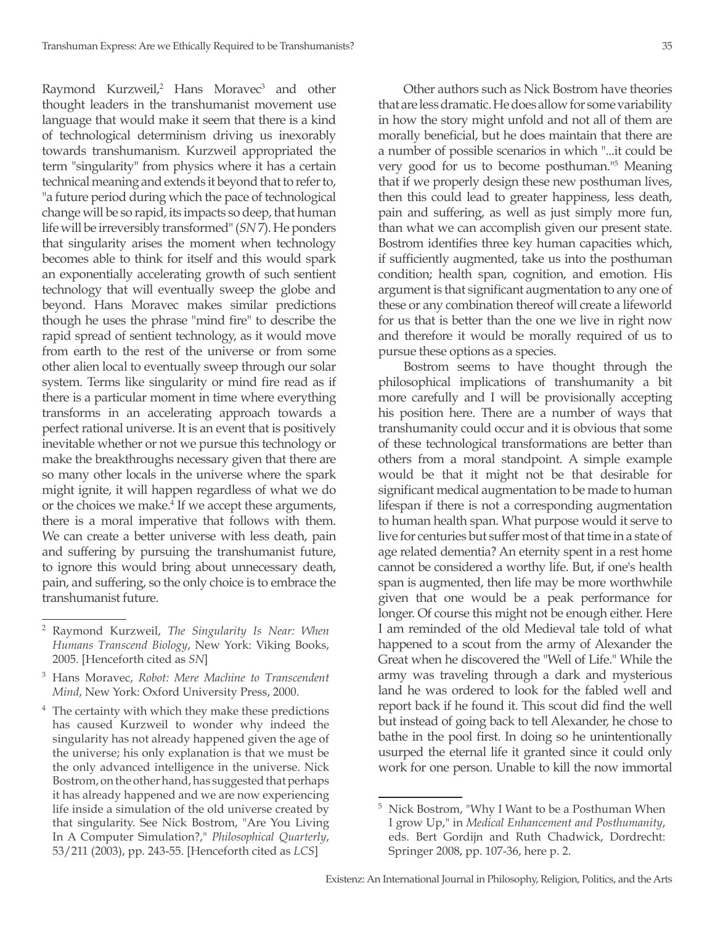Raymond Kurzweil,<sup>2</sup> Hans Moravec<sup>3</sup> and other thought leaders in the transhumanist movement use language that would make it seem that there is a kind of technological determinism driving us inexorably towards transhumanism. Kurzweil appropriated the term "singularity" from physics where it has a certain technical meaning and extends it beyond that to refer to, "a future period during which the pace of technological change will be so rapid, its impacts so deep, that human life will be irreversibly transformed" (*SN* 7). He ponders that singularity arises the moment when technology becomes able to think for itself and this would spark an exponentially accelerating growth of such sentient technology that will eventually sweep the globe and beyond. Hans Moravec makes similar predictions though he uses the phrase "mind fire" to describe the rapid spread of sentient technology, as it would move from earth to the rest of the universe or from some other alien local to eventually sweep through our solar system. Terms like singularity or mind fire read as if there is a particular moment in time where everything transforms in an accelerating approach towards a perfect rational universe. It is an event that is positively inevitable whether or not we pursue this technology or make the breakthroughs necessary given that there are so many other locals in the universe where the spark might ignite, it will happen regardless of what we do or the choices we make.<sup>4</sup> If we accept these arguments, there is a moral imperative that follows with them. We can create a better universe with less death, pain and suffering by pursuing the transhumanist future, to ignore this would bring about unnecessary death, pain, and suffering, so the only choice is to embrace the transhumanist future.

 $4$  The certainty with which they make these predictions has caused Kurzweil to wonder why indeed the singularity has not already happened given the age of the universe; his only explanation is that we must be the only advanced intelligence in the universe. Nick Bostrom, on the other hand, has suggested that perhaps it has already happened and we are now experiencing life inside a simulation of the old universe created by that singularity. See Nick Bostrom, "Are You Living In A Computer Simulation?," *Philosophical Quarterly*, 53/211 (2003), pp. 243-55. [Henceforth cited as *LCS*]

Other authors such as Nick Bostrom have theories that are less dramatic. He does allow for some variability in how the story might unfold and not all of them are morally beneficial, but he does maintain that there are a number of possible scenarios in which "...it could be very good for us to become posthuman."<sup>5</sup> Meaning that if we properly design these new posthuman lives, then this could lead to greater happiness, less death, pain and suffering, as well as just simply more fun, than what we can accomplish given our present state. Bostrom identifies three key human capacities which, if sufficiently augmented, take us into the posthuman condition; health span, cognition, and emotion. His argument is that significant augmentation to any one of these or any combination thereof will create a lifeworld for us that is better than the one we live in right now and therefore it would be morally required of us to pursue these options as a species.

Bostrom seems to have thought through the philosophical implications of transhumanity a bit more carefully and I will be provisionally accepting his position here. There are a number of ways that transhumanity could occur and it is obvious that some of these technological transformations are better than others from a moral standpoint. A simple example would be that it might not be that desirable for significant medical augmentation to be made to human lifespan if there is not a corresponding augmentation to human health span. What purpose would it serve to live for centuries but suffer most of that time in a state of age related dementia? An eternity spent in a rest home cannot be considered a worthy life. But, if one's health span is augmented, then life may be more worthwhile given that one would be a peak performance for longer. Of course this might not be enough either. Here I am reminded of the old Medieval tale told of what happened to a scout from the army of Alexander the Great when he discovered the "Well of Life." While the army was traveling through a dark and mysterious land he was ordered to look for the fabled well and report back if he found it. This scout did find the well but instead of going back to tell Alexander, he chose to bathe in the pool first. In doing so he unintentionally usurped the eternal life it granted since it could only work for one person. Unable to kill the now immortal

<sup>2</sup> Raymond Kurzweil, *The Singularity Is Near: When Humans Transcend Biology*, New York: Viking Books, 2005. [Henceforth cited as *SN*]

<sup>3</sup> Hans Moravec, *Robot: Mere Machine to Transcendent Mind*, New York: Oxford University Press, 2000.

<sup>5</sup> Nick Bostrom, "Why I Want to be a Posthuman When I grow Up," in *Medical Enhancement and Posthumanity*, eds. Bert Gordijn and Ruth Chadwick, Dordrecht: Springer 2008, pp. 107-36, here p. 2.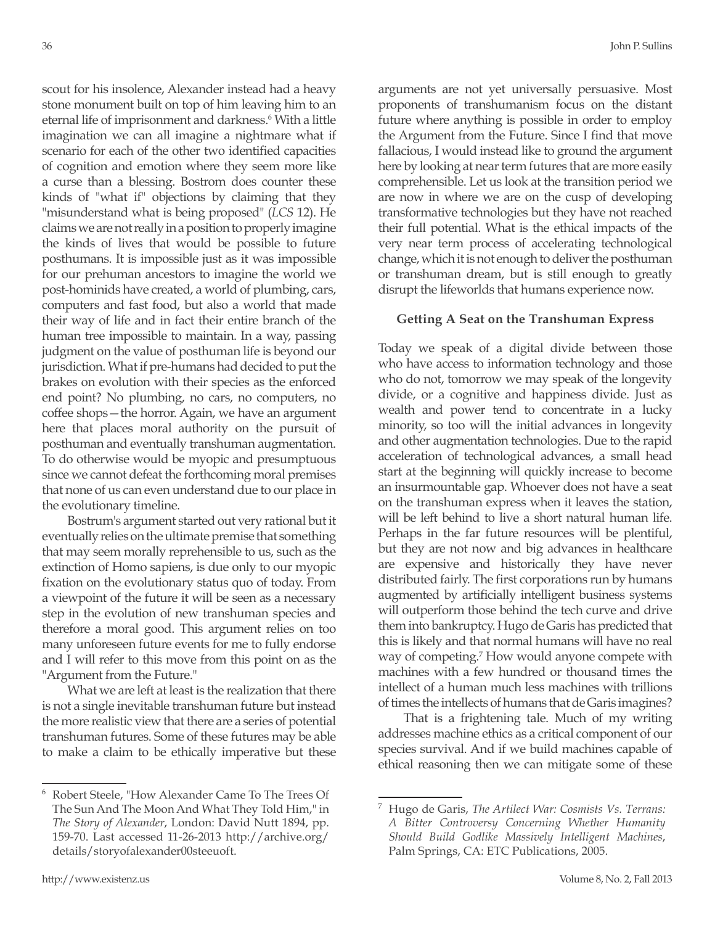scout for his insolence, Alexander instead had a heavy stone monument built on top of him leaving him to an eternal life of imprisonment and darkness.<sup>6</sup> With a little imagination we can all imagine a nightmare what if scenario for each of the other two identified capacities of cognition and emotion where they seem more like a curse than a blessing. Bostrom does counter these kinds of "what if" objections by claiming that they "misunderstand what is being proposed" (*LCS* 12). He claims we are not really in a position to properly imagine the kinds of lives that would be possible to future posthumans. It is impossible just as it was impossible for our prehuman ancestors to imagine the world we post-hominids have created, a world of plumbing, cars, computers and fast food, but also a world that made their way of life and in fact their entire branch of the human tree impossible to maintain. In a way, passing judgment on the value of posthuman life is beyond our jurisdiction. What if pre-humans had decided to put the brakes on evolution with their species as the enforced end point? No plumbing, no cars, no computers, no coffee shops—the horror. Again, we have an argument here that places moral authority on the pursuit of posthuman and eventually transhuman augmentation. To do otherwise would be myopic and presumptuous since we cannot defeat the forthcoming moral premises that none of us can even understand due to our place in the evolutionary timeline.

Bostrum's argument started out very rational but it eventually relies on the ultimate premise that something that may seem morally reprehensible to us, such as the extinction of Homo sapiens, is due only to our myopic fixation on the evolutionary status quo of today. From a viewpoint of the future it will be seen as a necessary step in the evolution of new transhuman species and therefore a moral good. This argument relies on too many unforeseen future events for me to fully endorse and I will refer to this move from this point on as the "Argument from the Future."

What we are left at least is the realization that there is not a single inevitable transhuman future but instead the more realistic view that there are a series of potential transhuman futures. Some of these futures may be able to make a claim to be ethically imperative but these arguments are not yet universally persuasive. Most proponents of transhumanism focus on the distant future where anything is possible in order to employ the Argument from the Future. Since I find that move fallacious, I would instead like to ground the argument here by looking at near term futures that are more easily comprehensible. Let us look at the transition period we are now in where we are on the cusp of developing transformative technologies but they have not reached their full potential. What is the ethical impacts of the very near term process of accelerating technological change, which it is not enough to deliver the posthuman or transhuman dream, but is still enough to greatly disrupt the lifeworlds that humans experience now.

#### **Getting A Seat on the Transhuman Express**

Today we speak of a digital divide between those who have access to information technology and those who do not, tomorrow we may speak of the longevity divide, or a cognitive and happiness divide. Just as wealth and power tend to concentrate in a lucky minority, so too will the initial advances in longevity and other augmentation technologies. Due to the rapid acceleration of technological advances, a small head start at the beginning will quickly increase to become an insurmountable gap. Whoever does not have a seat on the transhuman express when it leaves the station, will be left behind to live a short natural human life. Perhaps in the far future resources will be plentiful, but they are not now and big advances in healthcare are expensive and historically they have never distributed fairly. The first corporations run by humans augmented by artificially intelligent business systems will outperform those behind the tech curve and drive them into bankruptcy. Hugo de Garis has predicted that this is likely and that normal humans will have no real way of competing.7 How would anyone compete with machines with a few hundred or thousand times the intellect of a human much less machines with trillions of times the intellects of humans that de Garis imagines?

That is a frightening tale. Much of my writing addresses machine ethics as a critical component of our species survival. And if we build machines capable of ethical reasoning then we can mitigate some of these

<sup>6</sup> Robert Steele, "How Alexander Came To The Trees Of The Sun And The Moon And What They Told Him," in *The Story of Alexander*, London: David Nutt 1894, pp. 159-70. Last accessed 11-26-2013 http://archive.org/ details/storyofalexander00steeuoft.

<sup>7</sup> Hugo de Garis, *The Artilect War: Cosmists Vs. Terrans: A Bitter Controversy Concerning Whether Humanity Should Build Godlike Massively Intelligent Machines*, Palm Springs, CA: ETC Publications, 2005.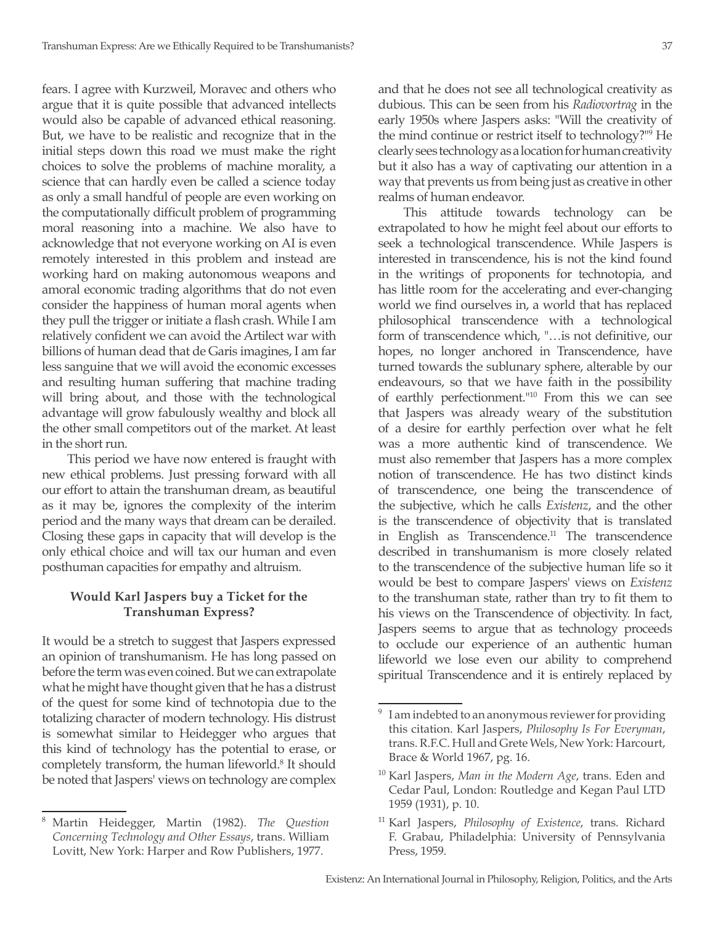fears. I agree with Kurzweil, Moravec and others who argue that it is quite possible that advanced intellects would also be capable of advanced ethical reasoning. But, we have to be realistic and recognize that in the initial steps down this road we must make the right choices to solve the problems of machine morality, a science that can hardly even be called a science today as only a small handful of people are even working on the computationally difficult problem of programming moral reasoning into a machine. We also have to acknowledge that not everyone working on AI is even remotely interested in this problem and instead are working hard on making autonomous weapons and amoral economic trading algorithms that do not even consider the happiness of human moral agents when they pull the trigger or initiate a flash crash. While I am relatively confident we can avoid the Artilect war with billions of human dead that de Garis imagines, I am far less sanguine that we will avoid the economic excesses and resulting human suffering that machine trading will bring about, and those with the technological advantage will grow fabulously wealthy and block all the other small competitors out of the market. At least in the short run.

This period we have now entered is fraught with new ethical problems. Just pressing forward with all our effort to attain the transhuman dream, as beautiful as it may be, ignores the complexity of the interim period and the many ways that dream can be derailed. Closing these gaps in capacity that will develop is the only ethical choice and will tax our human and even posthuman capacities for empathy and altruism.

# **Would Karl Jaspers buy a Ticket for the Transhuman Express?**

It would be a stretch to suggest that Jaspers expressed an opinion of transhumanism. He has long passed on before the term was even coined. But we can extrapolate what he might have thought given that he has a distrust of the quest for some kind of technotopia due to the totalizing character of modern technology. His distrust is somewhat similar to Heidegger who argues that this kind of technology has the potential to erase, or completely transform, the human lifeworld.<sup>8</sup> It should be noted that Jaspers' views on technology are complex

and that he does not see all technological creativity as dubious. This can be seen from his *Radiovortrag* in the early 1950s where Jaspers asks: "Will the creativity of the mind continue or restrict itself to technology?"<sup>9</sup> He clearly sees technology as a location for human creativity but it also has a way of captivating our attention in a way that prevents us from being just as creative in other realms of human endeavor.

This attitude towards technology can be extrapolated to how he might feel about our efforts to seek a technological transcendence. While Jaspers is interested in transcendence, his is not the kind found in the writings of proponents for technotopia, and has little room for the accelerating and ever-changing world we find ourselves in, a world that has replaced philosophical transcendence with a technological form of transcendence which, "…is not definitive, our hopes, no longer anchored in Transcendence, have turned towards the sublunary sphere, alterable by our endeavours, so that we have faith in the possibility of earthly perfectionment."10 From this we can see that Jaspers was already weary of the substitution of a desire for earthly perfection over what he felt was a more authentic kind of transcendence. We must also remember that Jaspers has a more complex notion of transcendence. He has two distinct kinds of transcendence, one being the transcendence of the subjective, which he calls *Existenz*, and the other is the transcendence of objectivity that is translated in English as Transcendence.<sup>11</sup> The transcendence described in transhumanism is more closely related to the transcendence of the subjective human life so it would be best to compare Jaspers' views on *Existenz* to the transhuman state, rather than try to fit them to his views on the Transcendence of objectivity. In fact, Jaspers seems to argue that as technology proceeds to occlude our experience of an authentic human lifeworld we lose even our ability to comprehend spiritual Transcendence and it is entirely replaced by

<sup>8</sup> Martin Heidegger, Martin (1982). *The Question Concerning Technology and Other Essays*, trans. William Lovitt, New York: Harper and Row Publishers, 1977.

<sup>&</sup>lt;sup>9</sup> I am indebted to an anonymous reviewer for providing this citation. Karl Jaspers, *Philosophy Is For Everyman*, trans. R.F.C. Hull and Grete Wels, New York: Harcourt, Brace & World 1967, pg. 16.

<sup>10</sup> Karl Jaspers, *Man in the Modern Age*, trans. Eden and Cedar Paul, London: Routledge and Kegan Paul LTD 1959 (1931), p. 10.

<sup>11</sup> Karl Jaspers, *Philosophy of Existence*, trans. Richard F. Grabau, Philadelphia: University of Pennsylvania Press, 1959.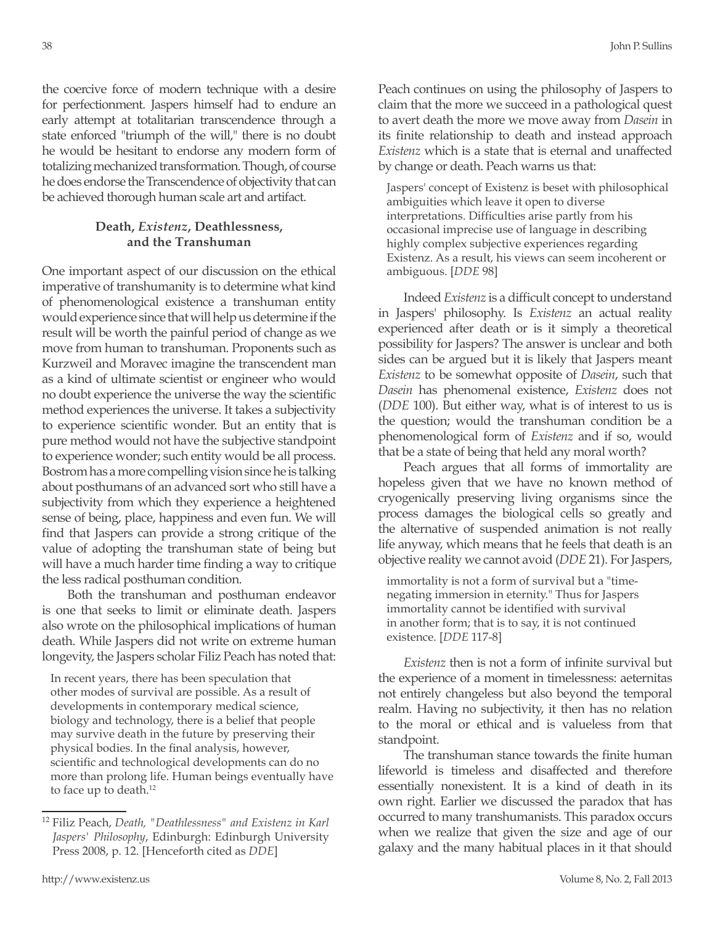the coercive force of modern technique with a desire for perfectionment. Jaspers himself had to endure an early attempt at totalitarian transcendence through a state enforced "triumph of the will," there is no doubt he would be hesitant to endorse any modern form of totalizing mechanized transformation. Though, of course he does endorse the Transcendence of objectivity that can be achieved thorough human scale art and artifact.

# **Death,** *Existenz***, Deathlessness, and the Transhuman**

One important aspect of our discussion on the ethical imperative of transhumanity is to determine what kind of phenomenological existence a transhuman entity would experience since that will help us determine if the result will be worth the painful period of change as we move from human to transhuman. Proponents such as Kurzweil and Moravec imagine the transcendent man as a kind of ultimate scientist or engineer who would no doubt experience the universe the way the scientific method experiences the universe. It takes a subjectivity to experience scientific wonder. But an entity that is pure method would not have the subjective standpoint to experience wonder; such entity would be all process. Bostrom has a more compelling vision since he is talking about posthumans of an advanced sort who still have a subjectivity from which they experience a heightened sense of being, place, happiness and even fun. We will find that Jaspers can provide a strong critique of the value of adopting the transhuman state of being but will have a much harder time finding a way to critique the less radical posthuman condition.

Both the transhuman and posthuman endeavor is one that seeks to limit or eliminate death. Jaspers also wrote on the philosophical implications of human death. While Jaspers did not write on extreme human longevity, the Jaspers scholar Filiz Peach has noted that:

In recent years, there has been speculation that other modes of survival are possible. As a result of developments in contemporary medical science, biology and technology, there is a belief that people may survive death in the future by preserving their physical bodies. In the final analysis, however, scientific and technological developments can do no more than prolong life. Human beings eventually have to face up to death.<sup>12</sup>

Peach continues on using the philosophy of Jaspers to claim that the more we succeed in a pathological quest to avert death the more we move away from *Dasein* in its finite relationship to death and instead approach *Existenz* which is a state that is eternal and unaffected by change or death. Peach warns us that:

Jaspers' concept of Existenz is beset with philosophical ambiguities which leave it open to diverse interpretations. Difficulties arise partly from his occasional imprecise use of language in describing highly complex subjective experiences regarding Existenz. As a result, his views can seem incoherent or ambiguous. [*DDE* 98]

Indeed *Existenz* is a difficult concept to understand in Jaspers' philosophy. Is *Existenz* an actual reality experienced after death or is it simply a theoretical possibility for Jaspers? The answer is unclear and both sides can be argued but it is likely that Jaspers meant *Existenz* to be somewhat opposite of *Dasein*, such that *Dasein* has phenomenal existence, *Existenz* does not (*DDE* 100). But either way, what is of interest to us is the question; would the transhuman condition be a phenomenological form of *Existenz* and if so, would that be a state of being that held any moral worth?

Peach argues that all forms of immortality are hopeless given that we have no known method of cryogenically preserving living organisms since the process damages the biological cells so greatly and the alternative of suspended animation is not really life anyway, which means that he feels that death is an objective reality we cannot avoid (*DDE* 21). For Jaspers,

immortality is not a form of survival but a "timenegating immersion in eternity." Thus for Jaspers immortality cannot be identified with survival in another form; that is to say, it is not continued existence. [*DDE* 117-8]

*Existenz* then is not a form of infinite survival but the experience of a moment in timelessness: aeternitas not entirely changeless but also beyond the temporal realm. Having no subjectivity, it then has no relation to the moral or ethical and is valueless from that standpoint.

The transhuman stance towards the finite human lifeworld is timeless and disaffected and therefore essentially nonexistent. It is a kind of death in its own right. Earlier we discussed the paradox that has occurred to many transhumanists. This paradox occurs when we realize that given the size and age of our galaxy and the many habitual places in it that should

<sup>12</sup> Filiz Peach, *Death, "Deathlessness" and Existenz in Karl Jaspers' Philosophy*, Edinburgh: Edinburgh University Press 2008, p. 12. [Henceforth cited as *DDE*]